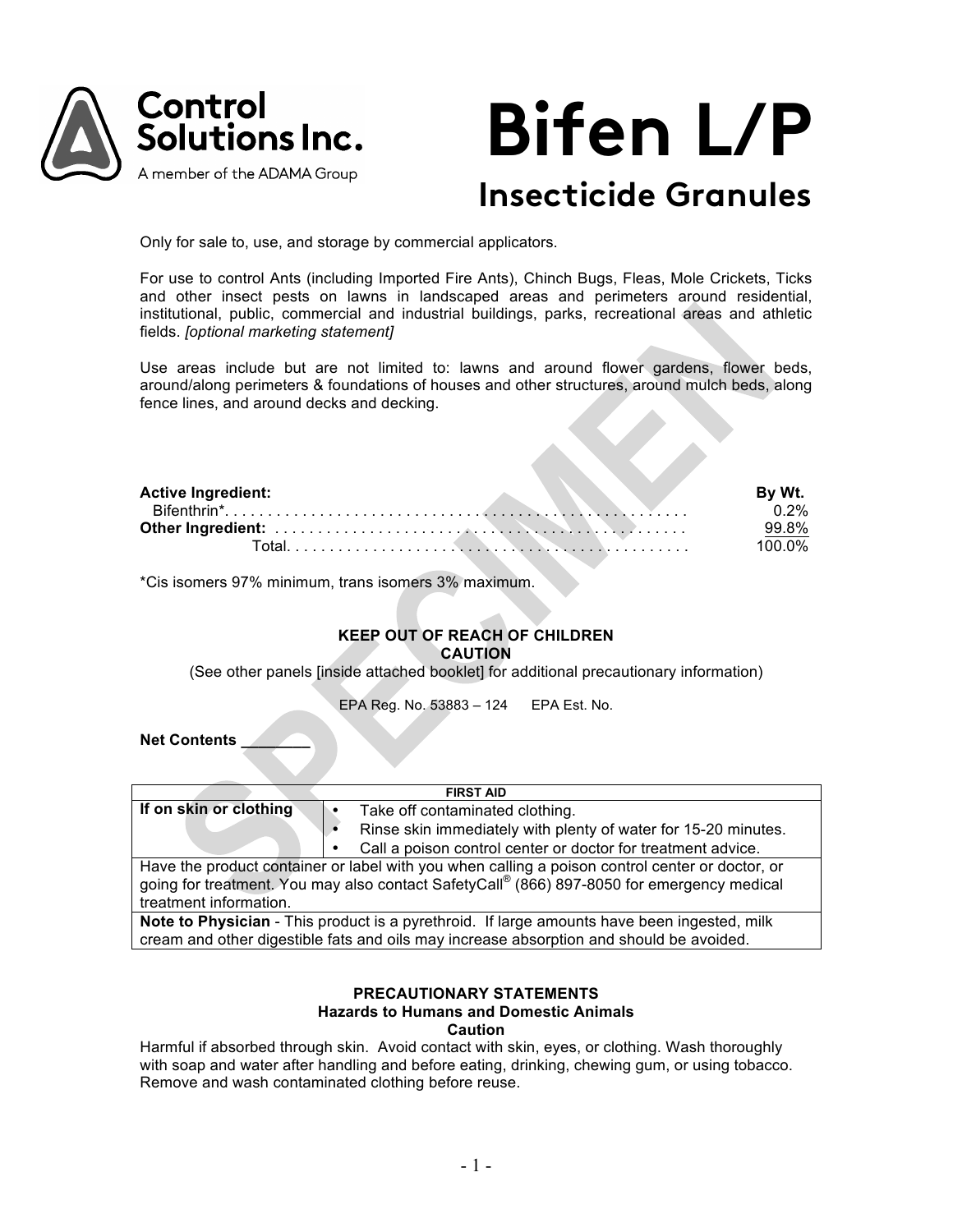

# **Bifen L/P Insecticide Granules**

Only for sale to, use, and storage by commercial applicators.

For use to control Ants (including Imported Fire Ants), Chinch Bugs, Fleas, Mole Crickets, Ticks and other insect pests on lawns in landscaped areas and perimeters around residential, institutional, public, commercial and industrial buildings, parks, recreational areas and athletic fields. *[optional marketing statement]*

Use areas include but are not limited to: lawns and around flower gardens, flower beds, around/along perimeters & foundations of houses and other structures, around mulch beds, along fence lines, and around decks and decking.

| <b>Active Ingredient:</b> | By Wt. |
|---------------------------|--------|
|                           | 0.2%   |
|                           | 99.8%  |
|                           | 100 0% |

\*Cis isomers 97% minimum, trans isomers 3% maximum.

## **KEEP OUT OF REACH OF CHILDREN CAUTION**

(See other panels [inside attached booklet] for additional precautionary information)

EPA Reg. No. 53883 – 124 EPA Est. No.

**Net Contents \_\_\_\_\_\_\_\_**

| <b>FIRST AID</b>                                                                                |                                 |                                                              |  |  |  |  |  |
|-------------------------------------------------------------------------------------------------|---------------------------------|--------------------------------------------------------------|--|--|--|--|--|
| If on skin or clothing                                                                          | Take off contaminated clothing. |                                                              |  |  |  |  |  |
| Rinse skin immediately with plenty of water for 15-20 minutes.                                  |                                 |                                                              |  |  |  |  |  |
|                                                                                                 |                                 | Call a poison control center or doctor for treatment advice. |  |  |  |  |  |
| Have the product container or label with you when calling a poison control center or doctor, or |                                 |                                                              |  |  |  |  |  |
| going for treatment. You may also contact SafetyCall® (866) 897-8050 for emergency medical      |                                 |                                                              |  |  |  |  |  |
| treatment information.                                                                          |                                 |                                                              |  |  |  |  |  |
| Note to Physician - This product is a pyrethroid. If large amounts have been ingested, milk     |                                 |                                                              |  |  |  |  |  |
| cream and other digestible fats and oils may increase absorption and should be avoided.         |                                 |                                                              |  |  |  |  |  |

## **PRECAUTIONARY STATEMENTS Hazards to Humans and Domestic Animals Caution**

Harmful if absorbed through skin. Avoid contact with skin, eyes, or clothing. Wash thoroughly with soap and water after handling and before eating, drinking, chewing gum, or using tobacco. Remove and wash contaminated clothing before reuse.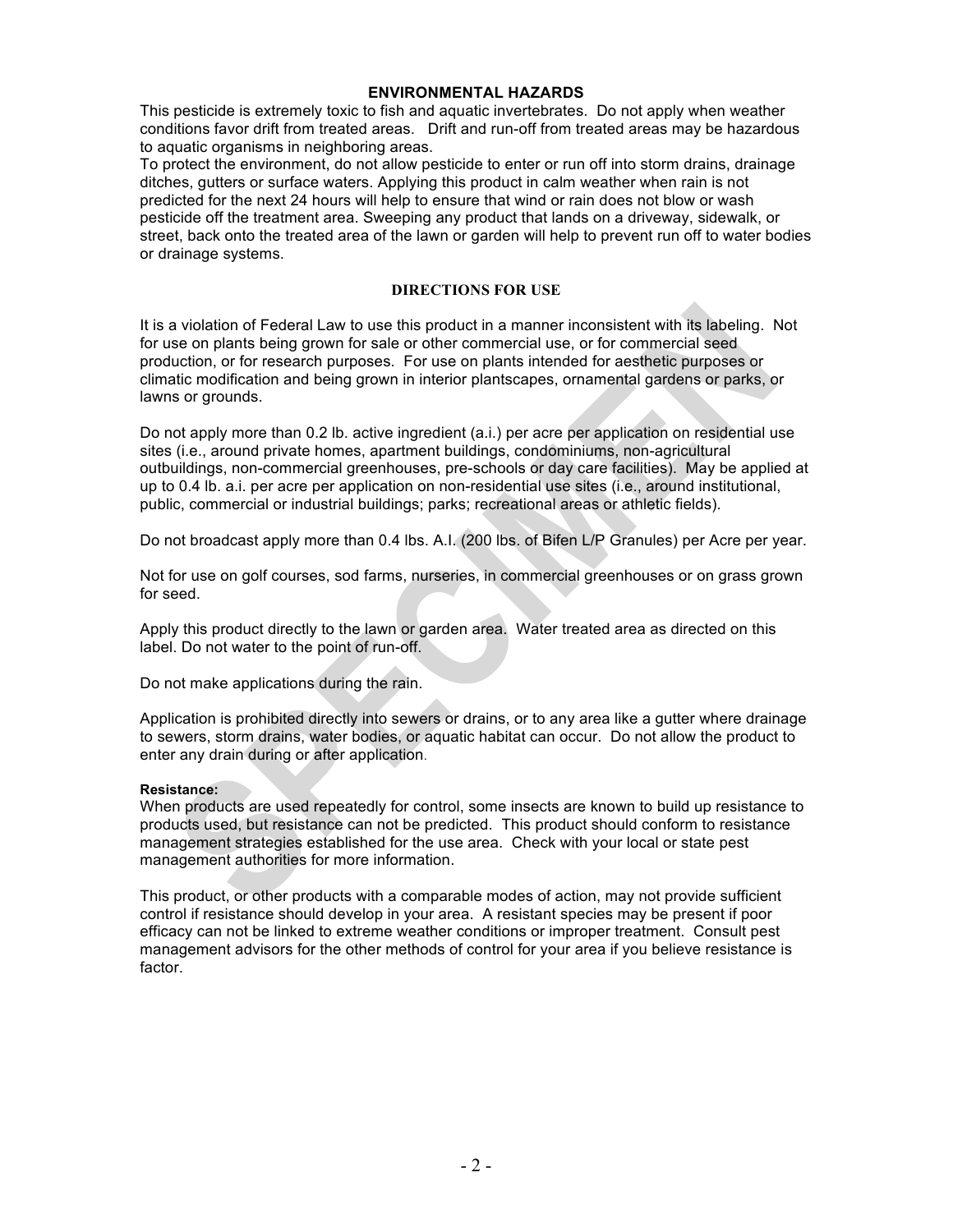# **ENVIRONMENTAL HAZARDS**

This pesticide is extremely toxic to fish and aquatic invertebrates. Do not apply when weather conditions favor drift from treated areas. Drift and run-off from treated areas may be hazardous to aquatic organisms in neighboring areas.

To protect the environment, do not allow pesticide to enter or run off into storm drains, drainage ditches, gutters or surface waters. Applying this product in calm weather when rain is not predicted for the next 24 hours will help to ensure that wind or rain does not blow or wash pesticide off the treatment area. Sweeping any product that lands on a driveway, sidewalk, or street, back onto the treated area of the lawn or garden will help to prevent run off to water bodies or drainage systems.

# **DIRECTIONS FOR USE**

It is a violation of Federal Law to use this product in a manner inconsistent with its labeling. Not for use on plants being grown for sale or other commercial use, or for commercial seed production, or for research purposes. For use on plants intended for aesthetic purposes or climatic modification and being grown in interior plantscapes, ornamental gardens or parks, or lawns or grounds.

Do not apply more than 0.2 lb. active ingredient (a.i.) per acre per application on residential use sites (i.e., around private homes, apartment buildings, condominiums, non-agricultural outbuildings, non-commercial greenhouses, pre-schools or day care facilities). May be applied at up to 0.4 lb. a.i. per acre per application on non-residential use sites (i.e., around institutional, public, commercial or industrial buildings; parks; recreational areas or athletic fields).

Do not broadcast apply more than 0.4 lbs. A.I. (200 lbs. of Bifen L/P Granules) per Acre per year.

Not for use on golf courses, sod farms, nurseries, in commercial greenhouses or on grass grown for seed.

Apply this product directly to the lawn or garden area. Water treated area as directed on this label. Do not water to the point of run-off.

Do not make applications during the rain.

Application is prohibited directly into sewers or drains, or to any area like a gutter where drainage to sewers, storm drains, water bodies, or aquatic habitat can occur. Do not allow the product to enter any drain during or after application.

# **Resistance:**

When products are used repeatedly for control, some insects are known to build up resistance to products used, but resistance can not be predicted. This product should conform to resistance management strategies established for the use area. Check with your local or state pest management authorities for more information.

This product, or other products with a comparable modes of action, may not provide sufficient control if resistance should develop in your area. A resistant species may be present if poor efficacy can not be linked to extreme weather conditions or improper treatment. Consult pest management advisors for the other methods of control for your area if you believe resistance is factor.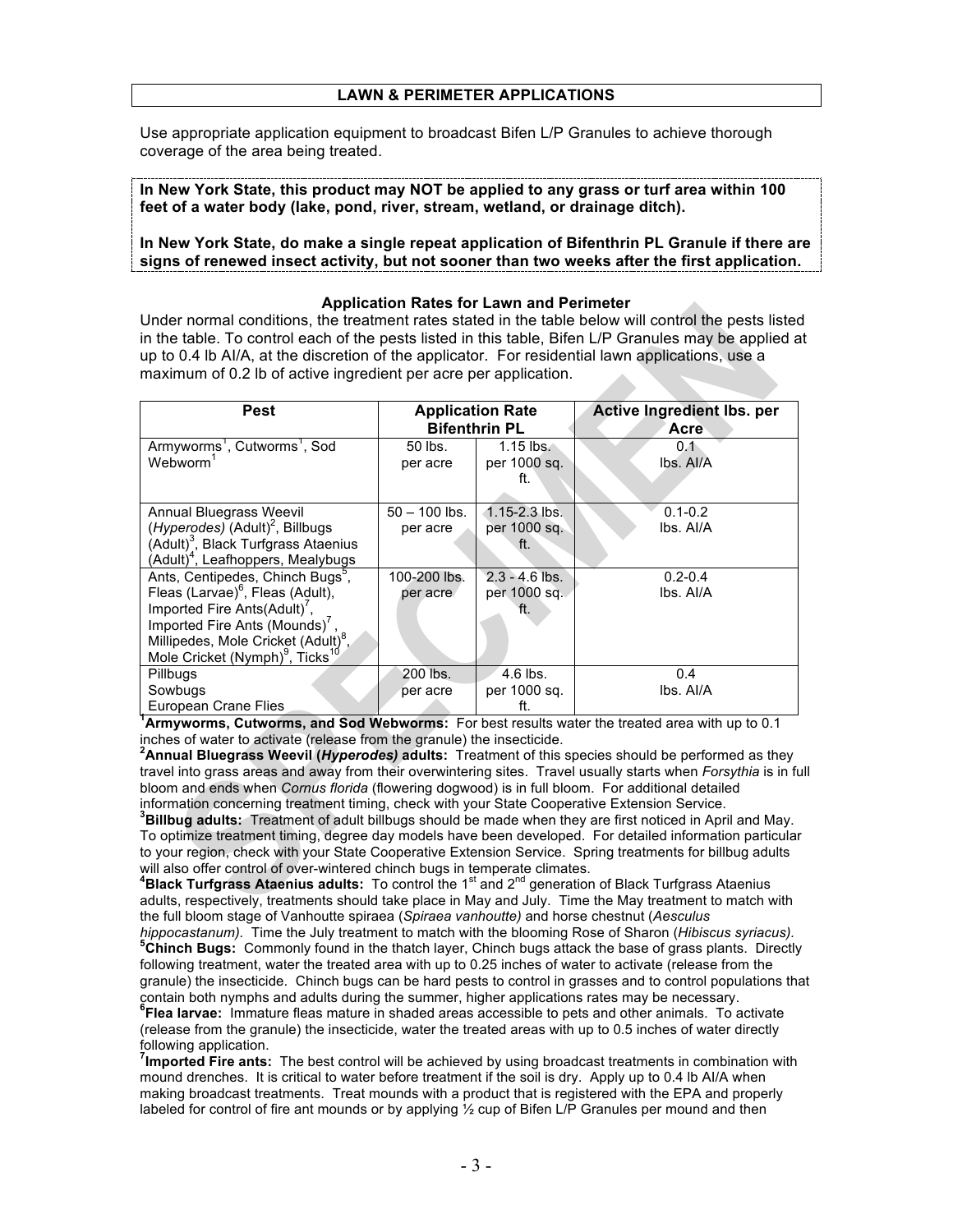Use appropriate application equipment to broadcast Bifen L/P Granules to achieve thorough coverage of the area being treated.

**In New York State, this product may NOT be applied to any grass or turf area within 100 feet of a water body (lake, pond, river, stream, wetland, or drainage ditch).**

## **In New York State, do make a single repeat application of Bifenthrin PL Granule if there are signs of renewed insect activity, but not sooner than two weeks after the first application.**

## **Application Rates for Lawn and Perimeter**

Under normal conditions, the treatment rates stated in the table below will control the pests listed in the table. To control each of the pests listed in this table, Bifen L/P Granules may be applied at up to 0.4 lb AI/A, at the discretion of the applicator. For residential lawn applications, use a maximum of 0.2 lb of active ingredient per acre per application.

| Pest                                                    |                 | <b>Application Rate</b> | Active Ingredient Ibs. per |  |  |  |  |
|---------------------------------------------------------|-----------------|-------------------------|----------------------------|--|--|--|--|
|                                                         |                 | <b>Bifenthrin PL</b>    | Acre                       |  |  |  |  |
| Armyworms <sup>1</sup> , Cutworms <sup>1</sup> , Sod    | 50 lbs.         | $1.15$ lbs.             | 0.1                        |  |  |  |  |
| Webworm <sup>1</sup>                                    | per acre        | per 1000 sq.            | lbs. Al/A                  |  |  |  |  |
|                                                         |                 | ft.                     |                            |  |  |  |  |
|                                                         |                 |                         |                            |  |  |  |  |
| Annual Bluegrass Weevil                                 | $50 - 100$ lbs. | $1.15 - 2.3$ lbs.       | $0.1 - 0.2$                |  |  |  |  |
| ( <i>Hyperodes</i> ) $(Adult)^2$ , Billbugs             | per acre        | per 1000 sq.            | lbs. Al/A                  |  |  |  |  |
| (Adult) <sup>3</sup> , Black Turfgrass Ataenius         |                 | ft.                     |                            |  |  |  |  |
| (Adult) <sup>4</sup> , Leafhoppers, Mealybugs           |                 |                         |                            |  |  |  |  |
| Ants, Centipedes, Chinch Bugs <sup>3</sup> ,            | 100-200 lbs.    | $2.3 - 4.6$ lbs.        | $0.2 - 0.4$                |  |  |  |  |
| Fleas (Larvae) <sup>6</sup> , Fleas (Adult),            | per acre        | per 1000 sq.            | lbs. Al/A                  |  |  |  |  |
| Imported Fire Ants(Adult) <sup>7</sup> ,                |                 | ft.                     |                            |  |  |  |  |
| Imported Fire Ants (Mounds) <sup>7</sup>                |                 |                         |                            |  |  |  |  |
| Millipedes, Mole Cricket (Adult) <sup>8</sup> ,         |                 |                         |                            |  |  |  |  |
| Mole Cricket (Nymph) <sup>9</sup> , Ticks <sup>10</sup> |                 |                         |                            |  |  |  |  |
| Pillbugs                                                | 200 lbs.        | $4.6$ lbs.              | 0.4                        |  |  |  |  |
| Sowbugs                                                 | per acre        | per 1000 sq.            | lbs. Al/A                  |  |  |  |  |
| European Crane Flies                                    |                 | ft.                     |                            |  |  |  |  |

**1 Armyworms, Cutworms, and Sod Webworms:** For best results water the treated area with up to 0.1 inches of water to activate (release from the granule) the insecticide. **<sup>2</sup>**

**Annual Bluegrass Weevil (***Hyperodes)* **adults:** Treatment of this species should be performed as they travel into grass areas and away from their overwintering sites. Travel usually starts when *Forsythia* is in full bloom and ends when *Cornus florida* (flowering dogwood) is in full bloom. For additional detailed information concerning treatment timing, check with your State Cooperative Extension Service.

**3 Billbug adults:** Treatment of adult billbugs should be made when they are first noticed in April and May. To optimize treatment timing, degree day models have been developed. For detailed information particular to your region, check with your State Cooperative Extension Service. Spring treatments for billbug adults will also offer control of over-wintered chinch bugs in temperate climates. **<sup>4</sup>**

<sup>4</sup>Black Turfgrass Ataenius adults: To control the 1<sup>st</sup> and 2<sup>nd</sup> generation of Black Turfgrass Ataenius adults, respectively, treatments should take place in May and July. Time the May treatment to match with the full bloom stage of Vanhoutte spiraea (*Spiraea vanhoutte)* and horse chestnut (*Aesculus* 

*hippocastanum).* Time the July treatment to match with the blooming Rose of Sharon (*Hibiscus syriacus).*<br><sup>5</sup>Chinch Bugs: Commonly found in the thatch layer, Chinch bugs attack the base of grass plants. Directly following treatment, water the treated area with up to 0.25 inches of water to activate (release from the granule) the insecticide. Chinch bugs can be hard pests to control in grasses and to control populations that contain both nymphs and adults during the summer, higher applications rates may be necessary.

**6 Flea larvae:** Immature fleas mature in shaded areas accessible to pets and other animals. To activate (release from the granule) the insecticide, water the treated areas with up to 0.5 inches of water directly following application.

**7 Imported Fire ants:** The best control will be achieved by using broadcast treatments in combination with mound drenches. It is critical to water before treatment if the soil is dry. Apply up to 0.4 lb Al/A when making broadcast treatments. Treat mounds with a product that is registered with the EPA and properly labeled for control of fire ant mounds or by applying ½ cup of Bifen L/P Granules per mound and then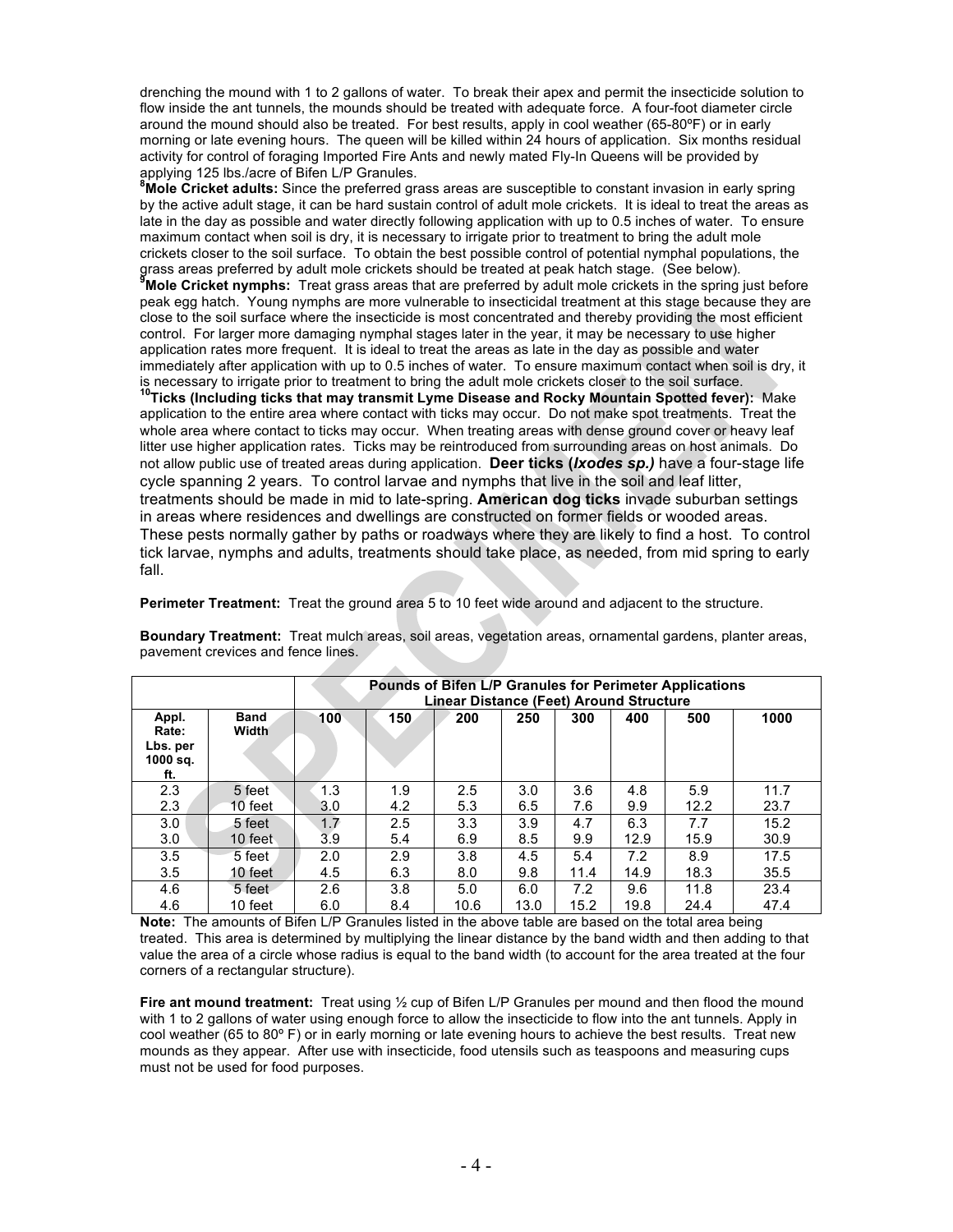drenching the mound with 1 to 2 gallons of water. To break their apex and permit the insecticide solution to flow inside the ant tunnels, the mounds should be treated with adequate force. A four-foot diameter circle around the mound should also be treated. For best results, apply in cool weather (65-80ºF) or in early morning or late evening hours. The queen will be killed within 24 hours of application. Six months residual activity for control of foraging Imported Fire Ants and newly mated Fly-In Queens will be provided by applying 125 lbs./acre of Bifen L/P Granules. **<sup>8</sup>**

**Mole Cricket adults:** Since the preferred grass areas are susceptible to constant invasion in early spring by the active adult stage, it can be hard sustain control of adult mole crickets. It is ideal to treat the areas as late in the day as possible and water directly following application with up to 0.5 inches of water. To ensure maximum contact when soil is dry, it is necessary to irrigate prior to treatment to bring the adult mole crickets closer to the soil surface. To obtain the best possible control of potential nymphal populations, the grass areas preferred by adult mole crickets should be treated at peak hatch stage. (See below). **9 Mole Cricket nymphs:** Treat grass areas that are preferred by adult mole crickets in the spring just before peak egg hatch. Young nymphs are more vulnerable to insecticidal treatment at this stage because they are close to the soil surface where the insecticide is most concentrated and thereby providing the most efficient control. For larger more damaging nymphal stages later in the year, it may be necessary to use higher application rates more frequent. It is ideal to treat the areas as late in the day as possible and water immediately after application with up to 0.5 inches of water. To ensure maximum contact when soil is dry, it is necessary to irrigate prior to treatment to bring the adult mole crickets closer to the soil surface.

**10Ticks (Including ticks that may transmit Lyme Disease and Rocky Mountain Spotted fever):** Make application to the entire area where contact with ticks may occur.Do not make spot treatments. Treat the whole area where contact to ticks may occur. When treating areas with dense ground cover or heavy leaf litter use higher application rates. Ticks may be reintroduced from surrounding areas on host animals. Do not allow public use of treated areas during application. **Deer ticks (***Ixodes sp.)* have a four-stage life cycle spanning 2 years. To control larvae and nymphs that live in the soil and leaf litter, treatments should be made in mid to late-spring. **American dog ticks** invade suburban settings in areas where residences and dwellings are constructed on former fields or wooded areas. These pests normally gather by paths or roadways where they are likely to find a host. To control tick larvae, nymphs and adults, treatments should take place, as needed, from mid spring to early fall.

**Perimeter Treatment:** Treat the ground area 5 to 10 feet wide around and adjacent to the structure.

|                                               |                      | Pounds of Bifen L/P Granules for Perimeter Applications<br>Linear Distance (Feet) Around Structure |     |      |      |      |      |      |      |
|-----------------------------------------------|----------------------|----------------------------------------------------------------------------------------------------|-----|------|------|------|------|------|------|
| Appl.<br>Rate:<br>Lbs. per<br>1000 sq.<br>ft. | <b>Band</b><br>Width | 100 <sub>1</sub>                                                                                   | 150 | 200  | 250  | 300  | 400  | 500  | 1000 |
| 2.3                                           | 5 feet               | 1.3                                                                                                | 1.9 | 2.5  | 3.0  | 3.6  | 4.8  | 5.9  | 11.7 |
| 2.3                                           | 10 feet              | 3.0                                                                                                | 4.2 | 5.3  | 6.5  | 7.6  | 9.9  | 12.2 | 23.7 |
| 3.0                                           | 5 feet               | 1.7                                                                                                | 2.5 | 3.3  | 3.9  | 4.7  | 6.3  | 7.7  | 15.2 |
| 3.0                                           | 10 feet              | 3.9                                                                                                | 5.4 | 6.9  | 8.5  | 9.9  | 12.9 | 15.9 | 30.9 |
| 3.5                                           | 5 feet               | 2.0                                                                                                | 2.9 | 3.8  | 4.5  | 5.4  | 7.2  | 8.9  | 17.5 |
| 3.5                                           | 10 feet              | 4.5                                                                                                | 6.3 | 8.0  | 9.8  | 11.4 | 14.9 | 18.3 | 35.5 |
| 4.6                                           | 5 feet               | 2.6                                                                                                | 3.8 | 5.0  | 6.0  | 7.2  | 9.6  | 11.8 | 23.4 |
| 4.6                                           | 10 feet              | 6.0                                                                                                | 8.4 | 10.6 | 13.0 | 15.2 | 19.8 | 24.4 | 47.4 |

**Boundary Treatment:** Treat mulch areas, soil areas, vegetation areas, ornamental gardens, planter areas, pavement crevices and fence lines.

**Note:** The amounts of Bifen L/P Granules listed in the above table are based on the total area being treated. This area is determined by multiplying the linear distance by the band width and then adding to that value the area of a circle whose radius is equal to the band width (to account for the area treated at the four corners of a rectangular structure).

**Fire ant mound treatment:** Treat using ½ cup of Bifen L/P Granules per mound and then flood the mound with 1 to 2 gallons of water using enough force to allow the insecticide to flow into the ant tunnels. Apply in cool weather (65 to 80º F) or in early morning or late evening hours to achieve the best results. Treat new mounds as they appear. After use with insecticide, food utensils such as teaspoons and measuring cups must not be used for food purposes.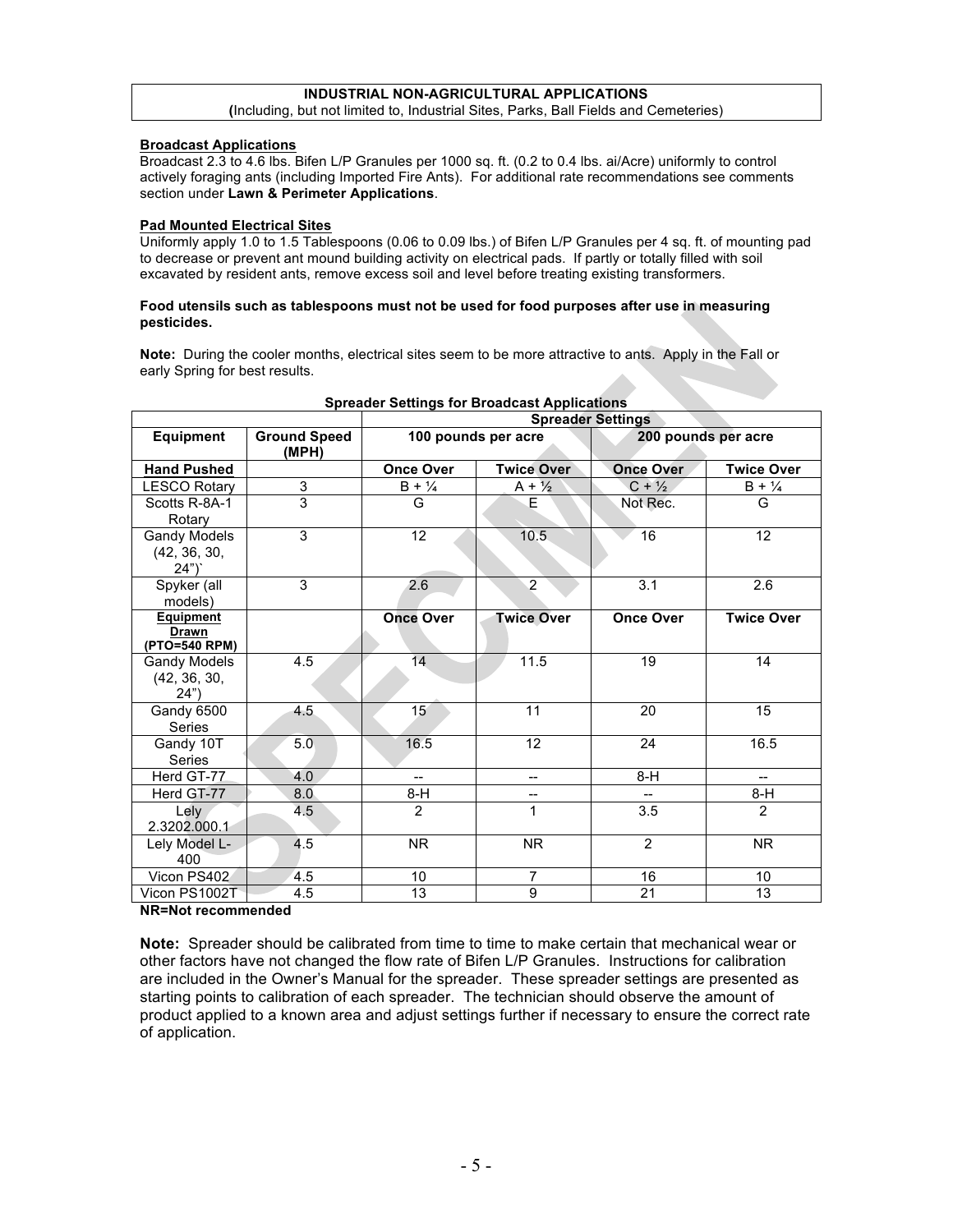#### **INDUSTRIAL NON-AGRICULTURAL APPLICATIONS (**Including, but not limited to, Industrial Sites, Parks, Ball Fields and Cemeteries)

# **Broadcast Applications**

Broadcast 2.3 to 4.6 lbs. Bifen L/P Granules per 1000 sq. ft. (0.2 to 0.4 lbs. ai/Acre) uniformly to control actively foraging ants (including Imported Fire Ants). For additional rate recommendations see comments section under **Lawn & Perimeter Applications**.

### **Pad Mounted Electrical Sites**

Uniformly apply 1.0 to 1.5 Tablespoons (0.06 to 0.09 lbs.) of Bifen L/P Granules per 4 sq. ft. of mounting pad to decrease or prevent ant mound building activity on electrical pads. If partly or totally filled with soil excavated by resident ants, remove excess soil and level before treating existing transformers.

### **Food utensils such as tablespoons must not be used for food purposes after use in measuring pesticides.**

**Note:** During the cooler months, electrical sites seem to be more attractive to ants. Apply in the Fall or early Spring for best results.

|                                                   |                              | <b>Spreader Settings</b> |                   |                     |                   |  |
|---------------------------------------------------|------------------------------|--------------------------|-------------------|---------------------|-------------------|--|
| Equipment                                         | <b>Ground Speed</b><br>(MPH) | 100 pounds per acre      |                   | 200 pounds per acre |                   |  |
| <b>Hand Pushed</b>                                |                              | <b>Once Over</b>         | <b>Twice Over</b> |                     | <b>Twice Over</b> |  |
| <b>LESCO Rotary</b>                               | 3                            | $B + \frac{1}{4}$        | $A + \frac{1}{2}$ | $C + \frac{1}{2}$   | $B + \frac{1}{4}$ |  |
| Scotts R-8A-1<br>Rotary                           | 3                            | G                        | E.                | Not Rec.            | G                 |  |
| <b>Gandy Models</b><br>(42, 36, 30,<br>24")       | 3                            | 12 <sup>°</sup>          | 10.5              | 16                  | 12                |  |
| Spyker (all<br>models)                            | 3                            | 2.6                      | $\overline{2}$    | 3.1                 | 2.6               |  |
| <b>Equipment</b><br><b>Drawn</b><br>(PTO=540 RPM) |                              | <b>Once Over</b>         | <b>Twice Over</b> | <b>Once Over</b>    | <b>Twice Over</b> |  |
| Gandy Models<br>(42, 36, 30,<br>24")              | 4.5                          | 14                       | 11.5              | 19                  | 14                |  |
| Gandy 6500<br><b>Series</b>                       | 4.5                          | 15 <sup>2</sup>          | 11                | 20                  | 15                |  |
| Gandy 10T<br>Series                               | 5.0                          | 16.5                     | 12                | 24                  | 16.5              |  |
| Herd GT-77                                        | 4.0                          | $-$                      | $-$               | $8-H$               | $-$               |  |
| Herd GT-77                                        | 8.0                          | $8-H$                    | --                | н.                  | $8-H$             |  |
| Lely<br>2.3202.000.1                              | 4.5                          | $\overline{2}$           | 1                 | 3.5                 | 2                 |  |
| Lely Model L-<br>400                              | 4.5                          | <b>NR</b>                | <b>NR</b>         | $\overline{2}$      | <b>NR</b>         |  |
| Vicon PS402                                       | 4.5                          | 10 <sup>1</sup>          | $\overline{7}$    | 16                  | 10                |  |
| Vicon PS1002T                                     | 4.5                          | 13                       | 9                 | 21                  | 13                |  |

# **Spreader Settings for Broadcast Applications**

**NR=Not recommended**

**Note:** Spreader should be calibrated from time to time to make certain that mechanical wear or other factors have not changed the flow rate of Bifen L/P Granules. Instructions for calibration are included in the Owner's Manual for the spreader. These spreader settings are presented as starting points to calibration of each spreader. The technician should observe the amount of product applied to a known area and adjust settings further if necessary to ensure the correct rate of application.